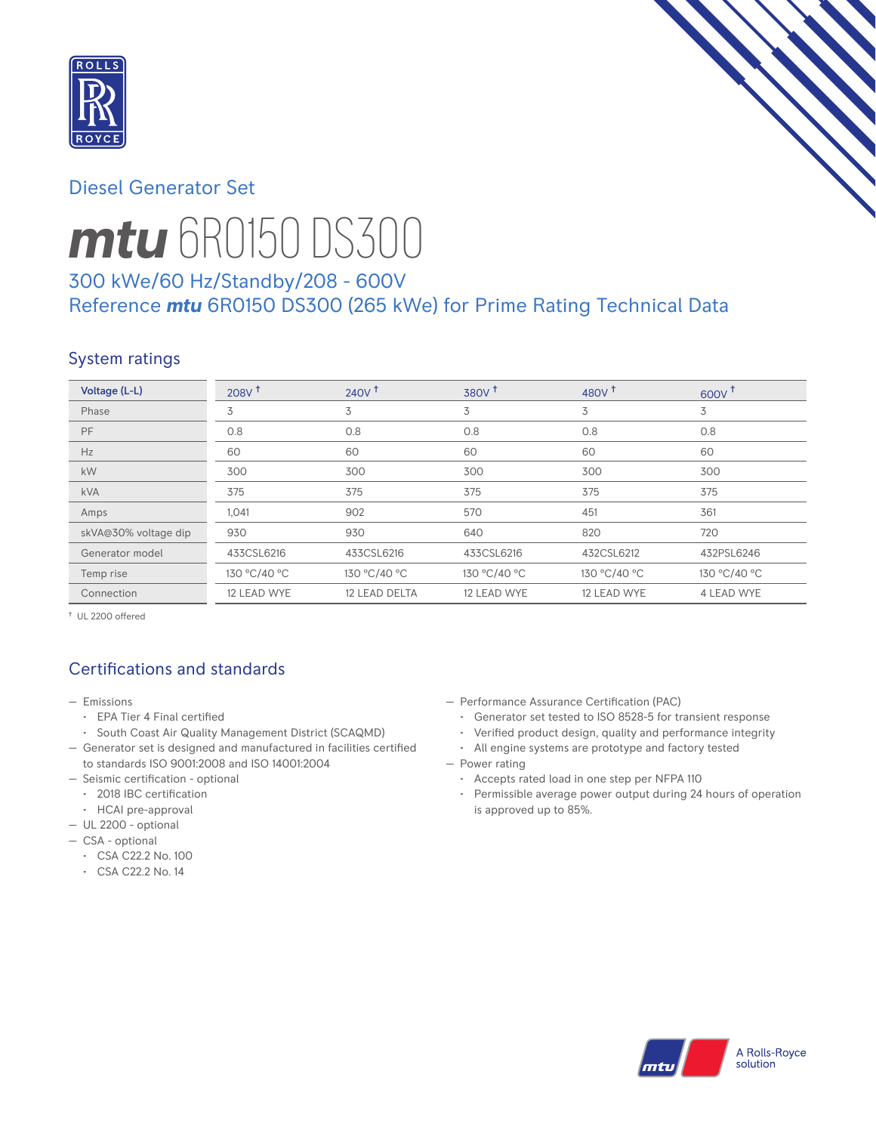

## Diesel Generator Set



# *mtu* 6R0150 DS300

# 300 kWe/60 Hz/Standby/208 - 600V Reference *mtu* 6R0150 DS300 (265 kWe) for Prime Rating Technical Data

## System ratings

| Voltage (L-L)        | 208V <sup>†</sup> | 240V <sup>†</sup> | 380V <sup>†</sup> | 480 $V†$     | $600V$ <sup>T</sup> |
|----------------------|-------------------|-------------------|-------------------|--------------|---------------------|
| Phase                | 3                 | 3                 | 3                 | 3            | 3                   |
| <b>PF</b>            | 0.8               | 0.8               | 0.8               | 0.8          | 0.8                 |
| Hz                   | 60                | 60                | 60                | 60           | 60                  |
| kW                   | 300               | 300               | 300               | 300          | 300                 |
| <b>kVA</b>           | 375               | 375               | 375               | 375          | 375                 |
| Amps                 | 1,041             | 902               | 570               | 451          | 361                 |
| skVA@30% voltage dip | 930               | 930               | 640               | 820          | 720                 |
| Generator model      | 433CSL6216        | 433CSL6216        | 433CSL6216        | 432CSL6212   | 432PSL6246          |
| Temp rise            | 130 °C/40 °C      | 130 °C/40 °C      | 130 °C/40 °C      | 130 °C/40 °C | 130 °C/40 °C        |
| Connection           | 12 LEAD WYE       | 12 LEAD DELTA     | 12 LEAD WYE       | 12 LEAD WYE  | 4 LEAD WYE          |

† UL 2200 offered

# Certifications and standards

- Emissions
	- EPA Tier 4 Final certified
- South Coast Air Quality Management District (SCAQMD)
- Generator set is designed and manufactured in facilities certified to standards ISO 9001:2008 and ISO 14001:2004
- Seismic certification optional
- 2018 IBC certification
- HCAI pre-approval
- UL 2200 optional
- CSA optional
	- CSA C22.2 No. 100
	- CSA C22.2 No. 14
- Performance Assurance Certification (PAC)
	- Generator set tested to ISO 8528-5 for transient response
- Verified product design, quality and performance integrity
- All engine systems are prototype and factory tested
- Power rating
	- Accepts rated load in one step per NFPA 110
	- Permissible average power output during 24 hours of operation is approved up to 85%.

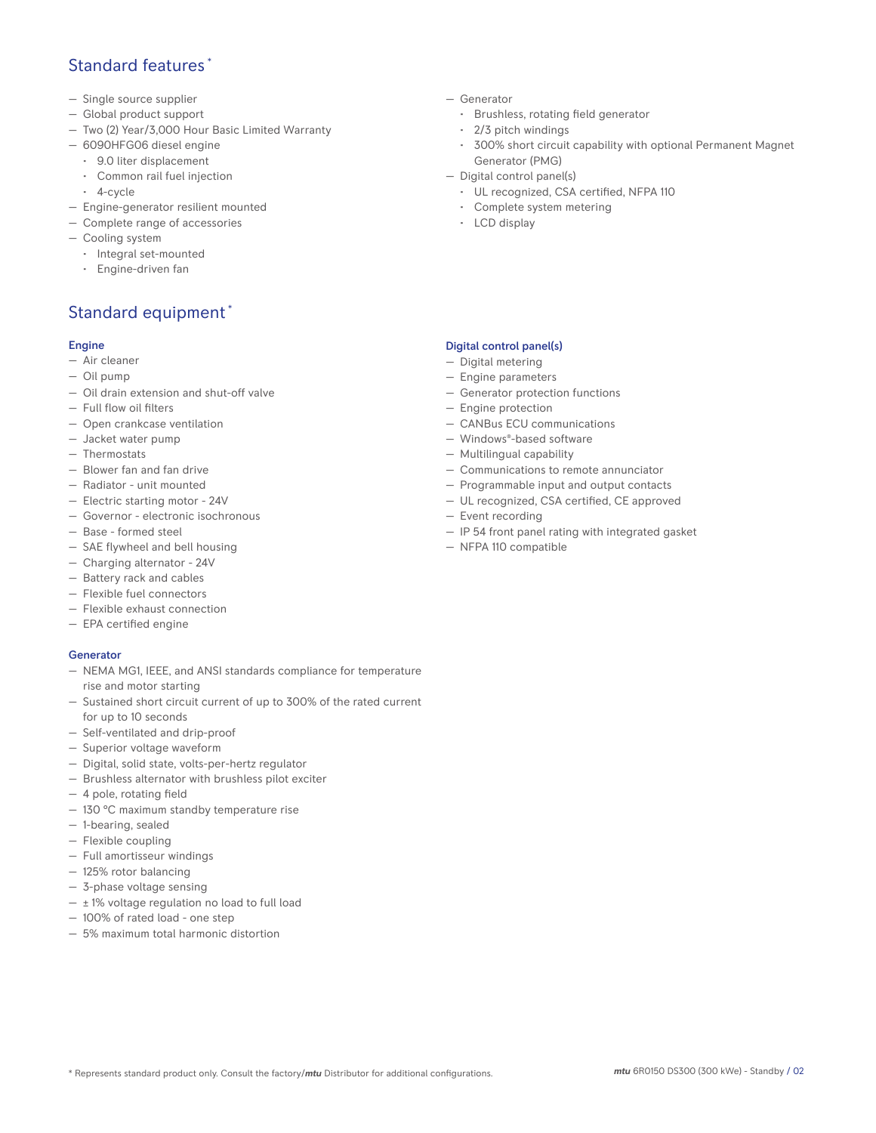## Standard features \*

- Single source supplier
- Global product support
- Two (2) Year/3,000 Hour Basic Limited Warranty
- 6090HFG06 diesel engine
	- 9.0 liter displacement
	- Common rail fuel injection
	- 4-cycle
- Engine-generator resilient mounted
- Complete range of accessories
- Cooling system
- Integral set-mounted
	- Engine-driven fan

# Standard equipment \*

#### Engine

- Air cleaner
- Oil pump
- Oil drain extension and shut-off valve
- Full flow oil filters
- Open crankcase ventilation
- Jacket water pump
- Thermostats
- Blower fan and fan drive
- Radiator unit mounted
- Electric starting motor 24V
- Governor electronic isochronous
- Base formed steel
- SAE flywheel and bell housing
- Charging alternator 24V
- Battery rack and cables
- Flexible fuel connectors
- Flexible exhaust connection
- EPA certified engine

#### **Generator**

- NEMA MG1, IEEE, and ANSI standards compliance for temperature rise and motor starting
- Sustained short circuit current of up to 300% of the rated current for up to 10 seconds
- Self-ventilated and drip-proof
- Superior voltage waveform
- Digital, solid state, volts-per-hertz regulator
- Brushless alternator with brushless pilot exciter
- 4 pole, rotating field
- 130 °C maximum standby temperature rise
- 1-bearing, sealed
- Flexible coupling
- Full amortisseur windings
- 125% rotor balancing
- 3-phase voltage sensing
- $\pm$  1% voltage regulation no load to full load
- 100% of rated load one step
- 5% maximum total harmonic distortion
- Generator
	- Brushless, rotating field generator
	- 2/3 pitch windings
	- 300% short circuit capability with optional Permanent Magnet Generator (PMG)
- Digital control panel(s)
	- UL recognized, CSA certified, NFPA 110
	- Complete system metering
	- LCD display

#### Digital control panel(s)

- Digital metering
- Engine parameters
- Generator protection functions
- Engine protection
- CANBus ECU communications
- Windows®-based software
- Multilingual capability
- Communications to remote annunciator
- Programmable input and output contacts
- UL recognized, CSA certified, CE approved
- Event recording
- IP 54 front panel rating with integrated gasket
- NFPA 110 compatible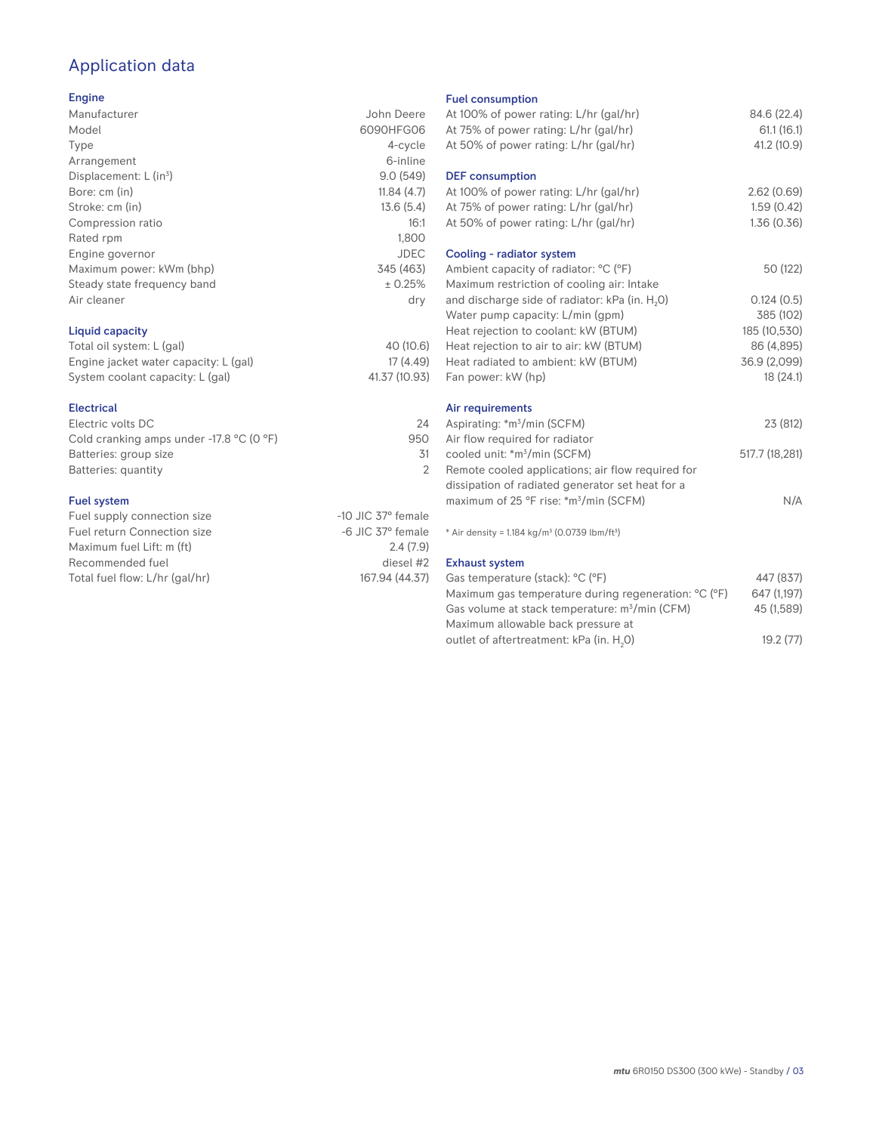# Application data

#### Engine

| Manufacturer                | John Deere  |
|-----------------------------|-------------|
| Model                       | 6090HFG06   |
| Type                        | 4-cycle     |
| Arrangement                 | 6-inline    |
| Displacement: $L (in3)$     | 9.0(549)    |
| Bore: cm (in)               | 11.84(4.7)  |
| Stroke: cm (in)             | 13.6(5.4)   |
| Compression ratio           | 16:1        |
| Rated rpm                   | 1,800       |
| Engine governor             | <b>JDEC</b> |
| Maximum power: kWm (bhp)    | 345 (463)   |
| Steady state frequency band | ± 0.25%     |
| Air cleaner                 | dry         |
|                             |             |
|                             |             |

#### Liquid capacity

| Total oil system: L (gal)             | 40 (10.6)     |
|---------------------------------------|---------------|
| Engine jacket water capacity: L (gal) | 17 (4.49)     |
| System coolant capacity: L (gal)      | 41.37 (10.93) |

#### Electrical

| Electric volts DC                                            | 24  |
|--------------------------------------------------------------|-----|
| Cold cranking amps under -17.8 $^{\circ}$ C (O $^{\circ}$ F) | 950 |
| Batteries: group size                                        | .31 |
| Batteries: quantity                                          |     |
|                                                              |     |

#### Fuel system

| Fuel supply connection size    | $-10$ JIC 37 $\degree$ female |
|--------------------------------|-------------------------------|
| Fuel return Connection size    | $-6$ JIC 37 $^{\circ}$ female |
| Maximum fuel Lift: m (ft)      | 2.4(7.9)                      |
| Recommended fuel               | diesel #2                     |
| Total fuel flow: L/hr (gal/hr) | 167.94 (44.37)                |
|                                |                               |

#### Fuel consumption

| At 100% of power rating: L/hr (gal/hr)<br>At 75% of power rating: L/hr (gal/hr)<br>At 50% of power rating: L/hr (gal/hr) | 84.6 (22.4)<br>61.1(16.1)<br>41.2 (10.9) |
|--------------------------------------------------------------------------------------------------------------------------|------------------------------------------|
| <b>DEF</b> consumption<br>At 100% of power rating: L/hr (gal/hr)<br>At 75% of power rating: L/hr (gal/hr)                | 2.62(0.69)<br>1.59(0.42)                 |
| At 50% of power rating: L/hr (gal/hr)                                                                                    | 1.36(0.36)                               |
| Cooling - radiator system<br>Ambient capacity of radiator: °C (°F)<br>Maximum restriction of cooling air: Intake         | 50 (122)                                 |
| and discharge side of radiator: kPa (in. H <sub>2</sub> O)<br>Water pump capacity: L/min (gpm)                           | 0.124(0.5)<br>385 (102)                  |
| Heat rejection to coolant: kW (BTUM)<br>Heat rejection to air to air: kW (BTUM)                                          | 185 (10,530)<br>86 (4,895)               |
| Heat radiated to ambient: kW (BTUM)<br>Fan power: kW (hp)                                                                | 36.9 (2,099)<br>18(24.1)                 |
| Air requirements                                                                                                         |                                          |
| Aspirating: *m <sup>3</sup> /min (SCFM)<br>Air flow required for radiator                                                | 23 (812)                                 |
| cooled unit: *m <sup>3</sup> /min (SCFM)<br>Remote cooled applications; air flow required for                            | 517.7 (18,281)                           |
| dissipation of radiated generator set heat for a<br>maximum of 25 °F rise: *m <sup>3</sup> /min (SCFM)                   | N/A                                      |
| * Air density = 1.184 kg/m <sup>3</sup> (0.0739 lbm/ft <sup>3</sup> )                                                    |                                          |
| <b>Exhaust system</b><br>Gas temperature (stack): °C (°F)                                                                | 447 (837)                                |
| Maximum gas temperature during regeneration: °C (°F)<br>Gas volume at stack temperature: m <sup>3</sup> /min (CFM)       | 647 (1,197)<br>45 (1.589)                |

| Maximum gas temperature during regeneration: <sup>o</sup> C (°F) | 647 (1.197) |
|------------------------------------------------------------------|-------------|
| Gas volume at stack temperature: m <sup>3</sup> /min (CFM)       | 45 (1.589)  |
| Maximum allowable back pressure at                               |             |
| outlet of aftertreatment: kPa (in. H <sub>2</sub> O)             | 19.2(77)    |